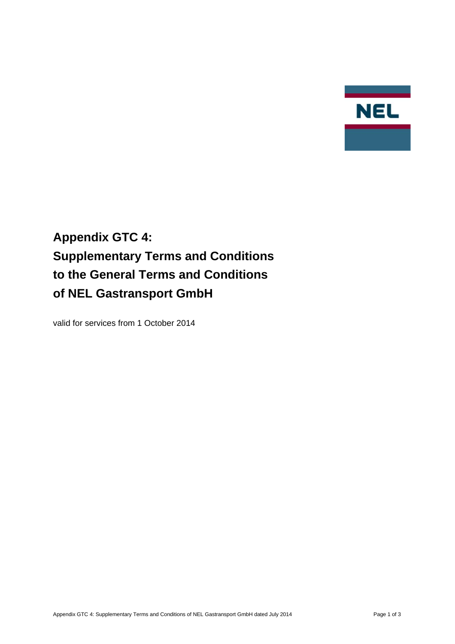

# **Appendix GTC 4: Supplementary Terms and Conditions to the General Terms and Conditions of NEL Gastransport GmbH**

valid for services from 1 October 2014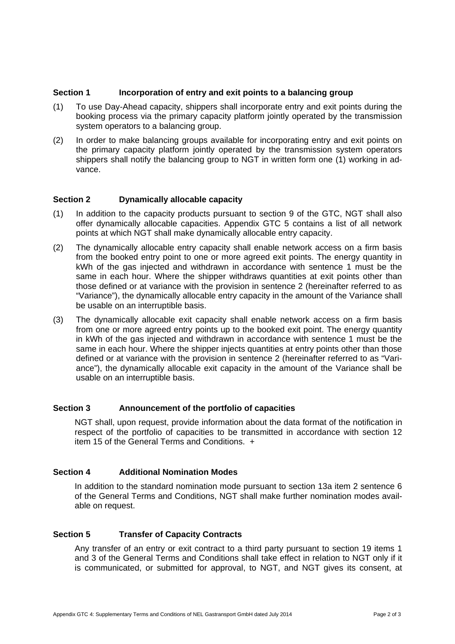# **Section 1** Incorporation of entry and exit points to a balancing group

- (1) To use Day-Ahead capacity, shippers shall incorporate entry and exit points during the booking process via the primary capacity platform jointly operated by the transmission system operators to a balancing group.
- (2) In order to make balancing groups available for incorporating entry and exit points on the primary capacity platform jointly operated by the transmission system operators shippers shall notify the balancing group to NGT in written form one (1) working in advance.

## **Section 2 Dynamically allocable capacity**

- (1) In addition to the capacity products pursuant to section 9 of the GTC, NGT shall also offer dynamically allocable capacities. Appendix GTC 5 contains a list of all network points at which NGT shall make dynamically allocable entry capacity.
- (2) The dynamically allocable entry capacity shall enable network access on a firm basis from the booked entry point to one or more agreed exit points. The energy quantity in kWh of the gas injected and withdrawn in accordance with sentence 1 must be the same in each hour. Where the shipper withdraws quantities at exit points other than those defined or at variance with the provision in sentence 2 (hereinafter referred to as "Variance"), the dynamically allocable entry capacity in the amount of the Variance shall be usable on an interruptible basis.
- (3) The dynamically allocable exit capacity shall enable network access on a firm basis from one or more agreed entry points up to the booked exit point. The energy quantity in kWh of the gas injected and withdrawn in accordance with sentence 1 must be the same in each hour. Where the shipper injects quantities at entry points other than those defined or at variance with the provision in sentence 2 (hereinafter referred to as "Variance"), the dynamically allocable exit capacity in the amount of the Variance shall be usable on an interruptible basis.

#### **Section 3 Announcement of the portfolio of capacities**

NGT shall, upon request, provide information about the data format of the notification in respect of the portfolio of capacities to be transmitted in accordance with section 12 item 15 of the General Terms and Conditions. +

#### **Section 4 Additional Nomination Modes**

In addition to the standard nomination mode pursuant to section 13a item 2 sentence 6 of the General Terms and Conditions, NGT shall make further nomination modes available on request.

# **Section 5 Transfer of Capacity Contracts**

Any transfer of an entry or exit contract to a third party pursuant to section 19 items 1 and 3 of the General Terms and Conditions shall take effect in relation to NGT only if it is communicated, or submitted for approval, to NGT, and NGT gives its consent, at